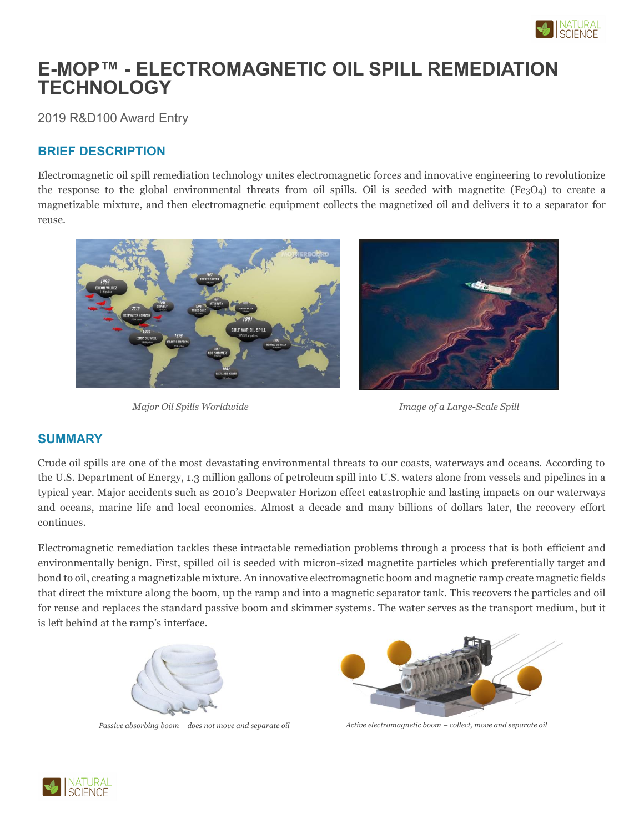

# **E-MOP™ - ELECTROMAGNETIC OIL SPILL REMEDIATION TECHNOLOGY**

2019 R&D100 Award Entry

# **BRIEF DESCRIPTION**

Electromagnetic oil spill remediation technology unites electromagnetic forces and innovative engineering to revolutionize the response to the global environmental threats from oil spills. Oil is seeded with magnetite (Fe3O4) to create a magnetizable mixture, and then electromagnetic equipment collects the magnetized oil and delivers it to a separator for reuse.



*Major Oil Spills Worldwide*

*Image of a Large-Scale Spill*

#### **SUMMARY**

Crude oil spills are one of the most devastating environmental threats to our coasts, waterways and oceans. According to the U.S. Department of Energy, 1.3 million gallons of petroleum spill into U.S. waters alone from vessels and pipelines in a typical year. Major accidents such as 2010's Deepwater Horizon effect catastrophic and lasting impacts on our waterways and oceans, marine life and local economies. Almost a decade and many billions of dollars later, the recovery effort continues.

Electromagnetic remediation tackles these intractable remediation problems through a process that is both efficient and environmentally benign. First, spilled oil is seeded with micron-sized magnetite particles which preferentially target and bond to oil, creating a magnetizable mixture. An innovative electromagnetic boom and magnetic ramp create magnetic fields that direct the mixture along the boom, up the ramp and into a magnetic separator tank. This recovers the particles and oil for reuse and replaces the standard passive boom and skimmer systems. The water serves as the transport medium, but it is left behind at the ramp's interface.





*Passive absorbing boom – does not move and separate oil Active electromagnetic boom – collect, move and separate oil*

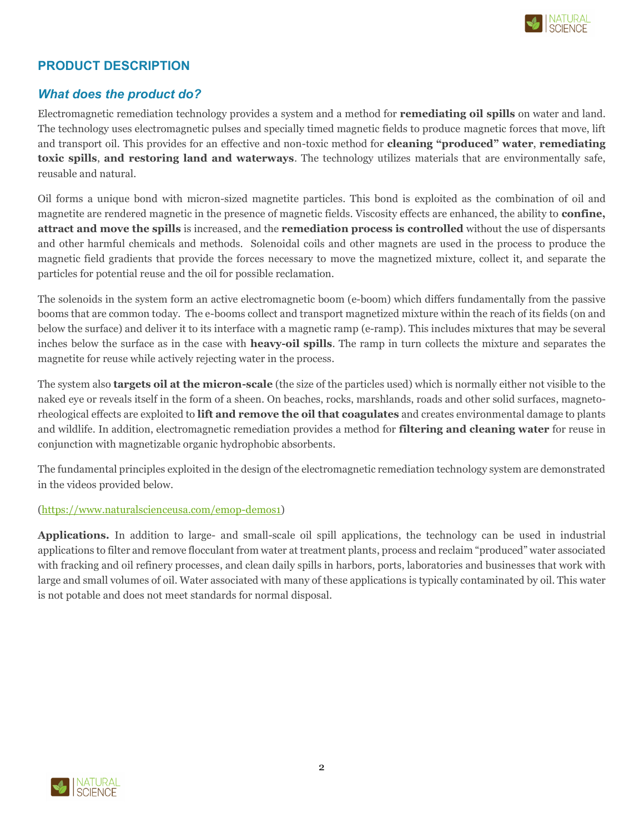

# **PRODUCT DESCRIPTION**

# *What does the product do?*

Electromagnetic remediation technology provides a system and a method for **remediating oil spills** on water and land. The technology uses electromagnetic pulses and specially timed magnetic fields to produce magnetic forces that move, lift and transport oil. This provides for an effective and non-toxic method for **cleaning "produced" water**, **remediating toxic spills**, **and restoring land and waterways**. The technology utilizes materials that are environmentally safe, reusable and natural.

Oil forms a unique bond with micron-sized magnetite particles. This bond is exploited as the combination of oil and magnetite are rendered magnetic in the presence of magnetic fields. Viscosity effects are enhanced, the ability to **confine, attract and move the spills** is increased, and the **remediation process is controlled** without the use of dispersants and other harmful chemicals and methods. Solenoidal coils and other magnets are used in the process to produce the magnetic field gradients that provide the forces necessary to move the magnetized mixture, collect it, and separate the particles for potential reuse and the oil for possible reclamation.

The solenoids in the system form an active electromagnetic boom (e-boom) which differs fundamentally from the passive booms that are common today. The e-booms collect and transport magnetized mixture within the reach of its fields (on and below the surface) and deliver it to its interface with a magnetic ramp (e-ramp). This includes mixtures that may be several inches below the surface as in the case with **heavy-oil spills**. The ramp in turn collects the mixture and separates the magnetite for reuse while actively rejecting water in the process.

The system also **targets oil at the micron-scale** (the size of the particles used) which is normally either not visible to the naked eye or reveals itself in the form of a sheen. On beaches, rocks, marshlands, roads and other solid surfaces, magnetorheological effects are exploited to **lift and remove the oil that coagulates** and creates environmental damage to plants and wildlife. In addition, electromagnetic remediation provides a method for **filtering and cleaning water** for reuse in conjunction with magnetizable organic hydrophobic absorbents.

The fundamental principles exploited in the design of the electromagnetic remediation technology system are demonstrated in the videos provided below.

#### [\(https://www.naturalscienceusa.com/emop-demos1\)](https://www.naturalscienceusa.com/emop-demos1)

**Applications.** In addition to large- and small-scale oil spill applications, the technology can be used in industrial applications to filter and remove flocculant from water at treatment plants, process and reclaim "produced" water associated with fracking and oil refinery processes, and clean daily spills in harbors, ports, laboratories and businesses that work with large and small volumes of oil. Water associated with many of these applications is typically contaminated by oil. This water is not potable and does not meet standards for normal disposal.

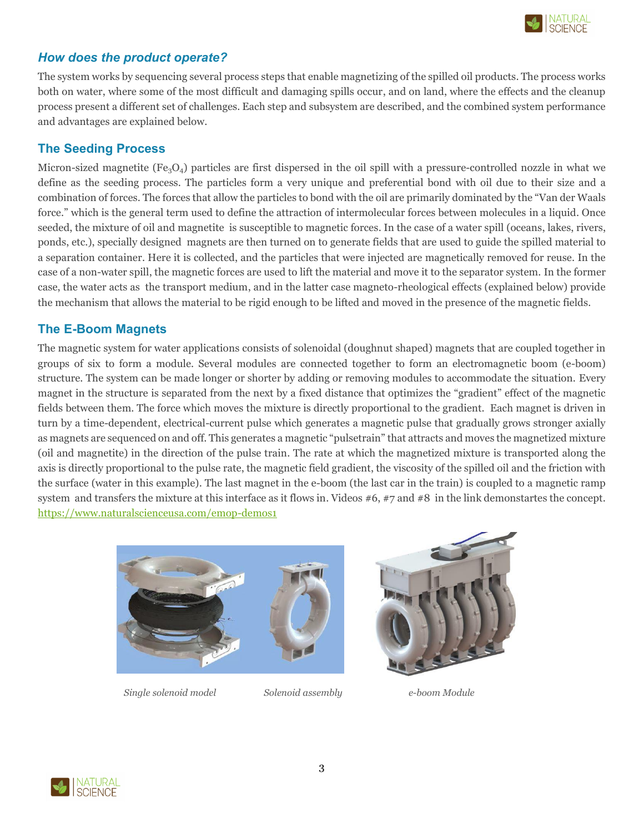

# *How does the product operate?*

The system works by sequencing several process steps that enable magnetizing of the spilled oil products. The process works both on water, where some of the most difficult and damaging spills occur, and on land, where the effects and the cleanup process present a different set of challenges. Each step and subsystem are described, and the combined system performance and advantages are explained below.

# **The Seeding Process**

Micron-sized magnetite  $(Fe<sub>3</sub>O<sub>4</sub>)$  particles are first dispersed in the oil spill with a pressure-controlled nozzle in what we define as the seeding process. The particles form a very unique and preferential bond with oil due to their size and a combination of forces. The forces that allow the particles to bond with the oil are primarily dominated by the "Van der Waals force." which is the general term used to define the attraction of intermolecular forces between molecules in a liquid. Once seeded, the mixture of oil and magnetite is susceptible to magnetic forces. In the case of a water spill (oceans, lakes, rivers, ponds, etc.), specially designed magnets are then turned on to generate fields that are used to guide the spilled material to a separation container. Here it is collected, and the particles that were injected are magnetically removed for reuse. In the case of a non-water spill, the magnetic forces are used to lift the material and move it to the separator system. In the former case, the water acts as the transport medium, and in the latter case magneto-rheological effects (explained below) provide the mechanism that allows the material to be rigid enough to be lifted and moved in the presence of the magnetic fields.

# **The E-Boom Magnets**

The magnetic system for water applications consists of solenoidal (doughnut shaped) magnets that are coupled together in groups of six to form a module. Several modules are connected together to form an electromagnetic boom (e-boom) structure. The system can be made longer or shorter by adding or removing modules to accommodate the situation. Every magnet in the structure is separated from the next by a fixed distance that optimizes the "gradient" effect of the magnetic fields between them. The force which moves the mixture is directly proportional to the gradient. Each magnet is driven in turn by a time-dependent, electrical-current pulse which generates a magnetic pulse that gradually grows stronger axially as magnets are sequenced on and off. This generates a magnetic "pulsetrain" that attracts and moves the magnetized mixture (oil and magnetite) in the direction of the pulse train. The rate at which the magnetized mixture is transported along the axis is directly proportional to the pulse rate, the magnetic field gradient, the viscosity of the spilled oil and the friction with the surface (water in this example). The last magnet in the e-boom (the last car in the train) is coupled to a magnetic ramp system and transfers the mixture at this interface as it flows in. Videos #6, #7 and #8 in the link demonstartes the concept. <https://www.naturalscienceusa.com/emop-demos1>





 *Single solenoid model Solenoid assembly e-boom Module*

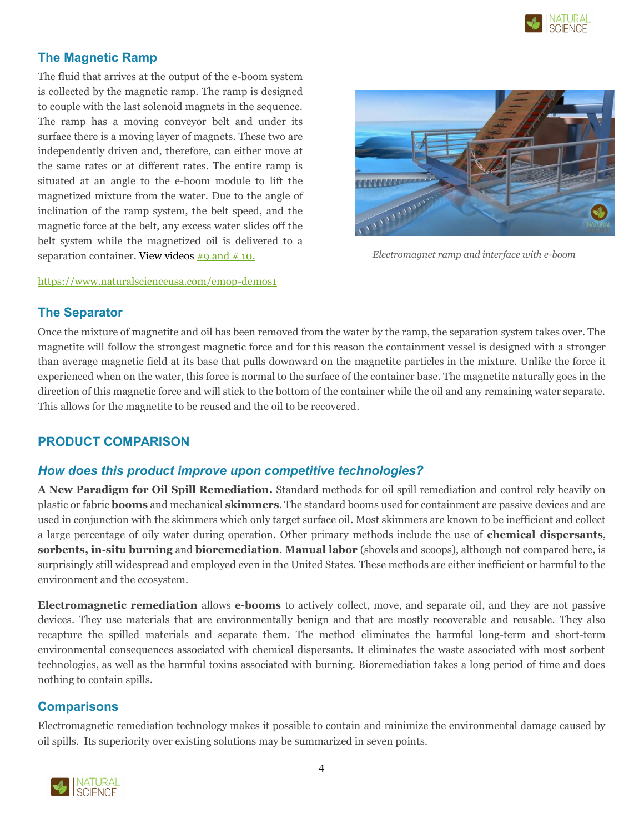

# **The Magnetic Ramp**

The fluid that arrives at the output of the e-boom system is collected by the magnetic ramp. The ramp is designed to couple with the last solenoid magnets in the sequence. The ramp has a moving conveyor belt and under its surface there is a moving layer of magnets. These two are independently driven and, therefore, can either move at the same rates or at different rates. The entire ramp is situated at an angle to the e-boom module to lift the magnetized mixture from the water. Due to the angle of inclination of the ramp system, the belt speed, and the magnetic force at the belt, any excess water slides off the belt system while the magnetized oil is delivered to a separation container. View videos  $\frac{\text{#9 and } \text{# 10.}}{\text{#10}}$ 

#### <https://www.naturalscienceusa.com/emop-demos1>



 *Electromagnet ramp and interface with e-boom*

#### **The Separator**

Once the mixture of magnetite and oil has been removed from the water by the ramp, the separation system takes over. The magnetite will follow the strongest magnetic force and for this reason the containment vessel is designed with a stronger than average magnetic field at its base that pulls downward on the magnetite particles in the mixture. Unlike the force it experienced when on the water, this force is normal to the surface of the container base. The magnetite naturally goes in the direction of this magnetic force and will stick to the bottom of the container while the oil and any remaining water separate. This allows for the magnetite to be reused and the oil to be recovered.

# **PRODUCT COMPARISON**

#### *How does this product improve upon competitive technologies?*

**A New Paradigm for Oil Spill Remediation.** Standard methods for oil spill remediation and control rely heavily on plastic or fabric **booms** and mechanical **skimmers**. The standard booms used for containment are passive devices and are used in conjunction with the skimmers which only target surface oil. Most skimmers are known to be inefficient and collect a large percentage of oily water during operation. Other primary methods include the use of **chemical dispersants**, **sorbents, in-situ burning** and **bioremediation**. **Manual labor** (shovels and scoops), although not compared here, is surprisingly still widespread and employed even in the United States. These methods are either inefficient or harmful to the environment and the ecosystem.

**Electromagnetic remediation** allows **e-booms** to actively collect, move, and separate oil, and they are not passive devices. They use materials that are environmentally benign and that are mostly recoverable and reusable. They also recapture the spilled materials and separate them. The method eliminates the harmful long-term and short-term environmental consequences associated with chemical dispersants. It eliminates the waste associated with most sorbent technologies, as well as the harmful toxins associated with burning. Bioremediation takes a long period of time and does nothing to contain spills.

#### **Comparisons**

Electromagnetic remediation technology makes it possible to contain and minimize the environmental damage caused by oil spills. Its superiority over existing solutions may be summarized in seven points.

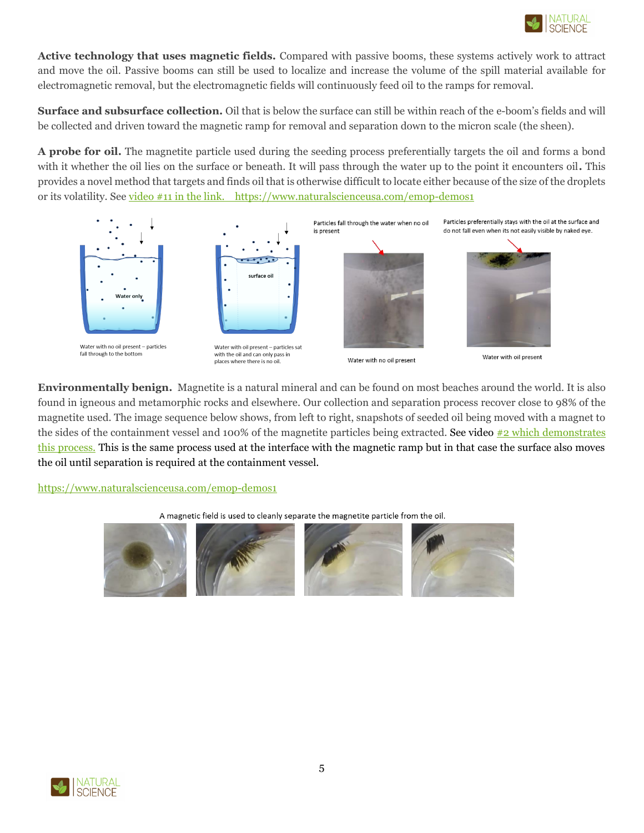

**Active technology that uses magnetic fields.** Compared with passive booms, these systems actively work to attract and move the oil. Passive booms can still be used to localize and increase the volume of the spill material available for electromagnetic removal, but the electromagnetic fields will continuously feed oil to the ramps for removal.

**Surface and subsurface collection.** Oil that is below the surface can still be within reach of the e-boom's fields and will be collected and driven toward the magnetic ramp for removal and separation down to the micron scale (the sheen).

**A probe for oil.** The magnetite particle used during the seeding process preferentially targets the oil and forms a bond with it whether the oil lies on the surface or beneath. It will pass through the water up to the point it encounters oil**.** This provides a novel method that targets and finds oil that is otherwise difficult to locate either because of the size of the droplets or its volatility. Se[e video #11 in the link.](file:///C:/Users/Gary%20Cullen/Desktop/video%2311%20in%20the%20link.) <https://www.naturalscienceusa.com/emop-demos1>



**Environmentally benign.** Magnetite is a natural mineral and can be found on most beaches around the world. It is also found in igneous and metamorphic rocks and elsewhere. Our collection and separation process recover close to 98% of the magnetite used. The image sequence below shows, from left to right, snapshots of seeded oil being moved with a magnet to the sides of the containment vessel and 100% of the magnetite particles being extracted. See video  $\#2$  which demonstrates [this process.](https://www.naturalscienceusa.com/emop-demos1) This is the same process used at the interface with the magnetic ramp but in that case the surface also moves the oil until separation is required at the containment vessel.

<https://www.naturalscienceusa.com/emop-demos1>



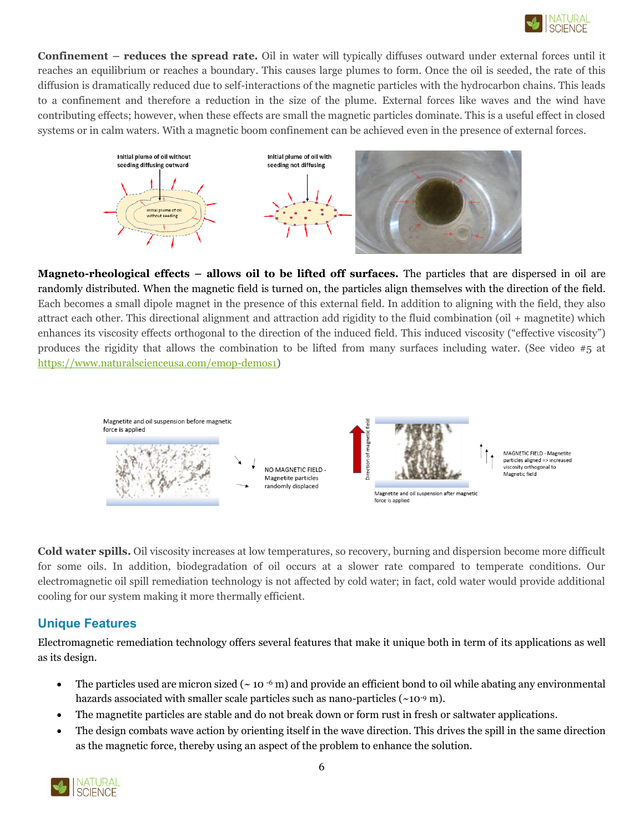

**Confinement – reduces the spread rate.** Oil in water will typically diffuses outward under external forces until it reaches an equilibrium or reaches a boundary. This causes large plumes to form. Once the oil is seeded, the rate of this diffusion is dramatically reduced due to self-interactions of the magnetic particles with the hydrocarbon chains. This leads to a confinement and therefore a reduction in the size of the plume. External forces like waves and the wind have contributing effects; however, when these effects are small the magnetic particles dominate. This is a useful effect in closed systems or in calm waters. With a magnetic boom confinement can be achieved even in the presence of external forces.



**Magneto-rheological effects – allows oil to be lifted off surfaces.** The particles that are dispersed in oil are randomly distributed. When the magnetic field is turned on, the particles align themselves with the direction of the field. Each becomes a small dipole magnet in the presence of this external field. In addition to aligning with the field, they also attract each other. This directional alignment and attraction add rigidity to the fluid combination (oil + magnetite) which enhances its viscosity effects orthogonal to the direction of the induced field. This induced viscosity ("effective viscosity") produces the rigidity that allows the combination to be lifted from many surfaces including water. (See video #5 at [https://www.naturalscienceusa.com/emop-demos1\)](https://www.naturalscienceusa.com/emop-demos1)



**Cold water spills.** Oil viscosity increases at low temperatures, so recovery, burning and dispersion become more difficult for some oils. In addition, biodegradation of oil occurs at a slower rate compared to temperate conditions. Our electromagnetic oil spill remediation technology is not affected by cold water; in fact, cold water would provide additional cooling for our system making it more thermally efficient.

# **Unique Features**

Electromagnetic remediation technology offers several features that make it unique both in term of its applications as well as its design.

- The particles used are micron sized ( $\sim$  10  $\cdot$  m) and provide an efficient bond to oil while abating any environmental hazards associated with smaller scale particles such as nano-particles (~10<sup>-9</sup> m).
- The magnetite particles are stable and do not break down or form rust in fresh or saltwater applications.
- The design combats wave action by orienting itself in the wave direction. This drives the spill in the same direction as the magnetic force, thereby using an aspect of the problem to enhance the solution.

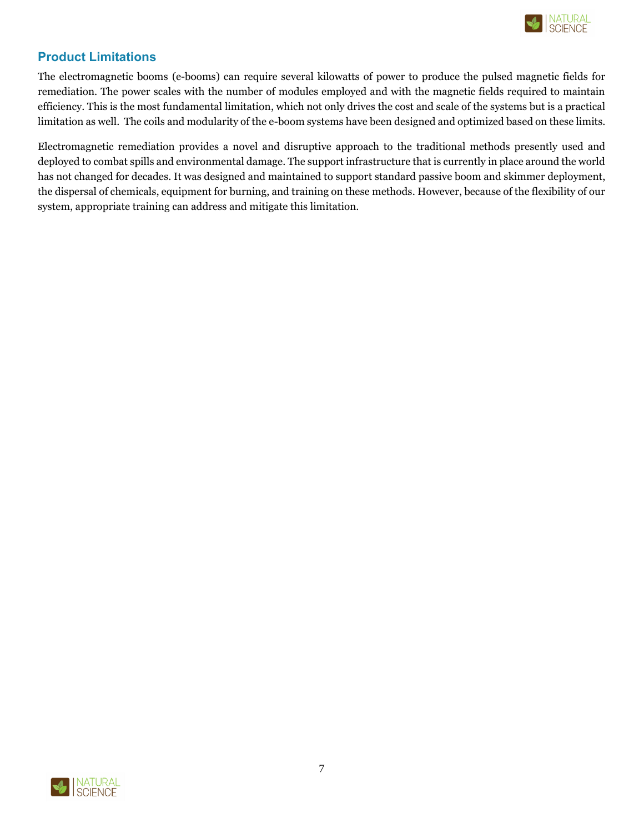

# **Product Limitations**

The electromagnetic booms (e-booms) can require several kilowatts of power to produce the pulsed magnetic fields for remediation. The power scales with the number of modules employed and with the magnetic fields required to maintain efficiency. This is the most fundamental limitation, which not only drives the cost and scale of the systems but is a practical limitation as well. The coils and modularity of the e-boom systems have been designed and optimized based on these limits.

Electromagnetic remediation provides a novel and disruptive approach to the traditional methods presently used and deployed to combat spills and environmental damage. The support infrastructure that is currently in place around the world has not changed for decades. It was designed and maintained to support standard passive boom and skimmer deployment, the dispersal of chemicals, equipment for burning, and training on these methods. However, because of the flexibility of our system, appropriate training can address and mitigate this limitation.

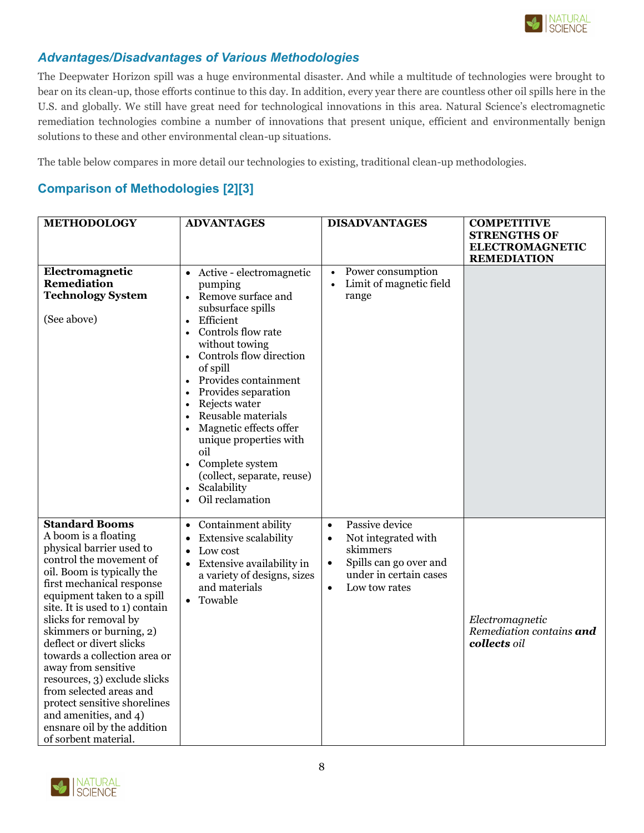

# *Advantages/Disadvantages of Various Methodologies*

The Deepwater Horizon spill was a huge environmental disaster. And while a multitude of technologies were brought to bear on its clean-up, those efforts continue to this day. In addition, every year there are countless other oil spills here in the U.S. and globally. We still have great need for technological innovations in this area. Natural Science's electromagnetic remediation technologies combine a number of innovations that present unique, efficient and environmentally benign solutions to these and other environmental clean-up situations.

The table below compares in more detail our technologies to existing, traditional clean-up methodologies.

# **Comparison of Methodologies [2][3]**

| <b>METHODOLOGY</b>                                                                                                                                                                                                                                                                                                                                                                                                                                                                                                                                | <b>ADVANTAGES</b>                                                                                                                                                                                                                                                                                                                                                                                                                                                                              | <b>DISADVANTAGES</b>                                                                                                                                                       | <b>COMPETITIVE</b><br><b>STRENGTHS OF</b><br><b>ELECTROMAGNETIC</b><br><b>REMEDIATION</b> |
|---------------------------------------------------------------------------------------------------------------------------------------------------------------------------------------------------------------------------------------------------------------------------------------------------------------------------------------------------------------------------------------------------------------------------------------------------------------------------------------------------------------------------------------------------|------------------------------------------------------------------------------------------------------------------------------------------------------------------------------------------------------------------------------------------------------------------------------------------------------------------------------------------------------------------------------------------------------------------------------------------------------------------------------------------------|----------------------------------------------------------------------------------------------------------------------------------------------------------------------------|-------------------------------------------------------------------------------------------|
| Electromagnetic<br>Remediation<br><b>Technology System</b><br>(See above)                                                                                                                                                                                                                                                                                                                                                                                                                                                                         | • Active - electromagnetic<br>pumping<br>Remove surface and<br>subsurface spills<br>Efficient<br>$\bullet$<br>Controls flow rate<br>$\bullet$<br>without towing<br>Controls flow direction<br>$\bullet$<br>of spill<br>Provides containment<br>$\bullet$<br>Provides separation<br>Rejects water<br>$\bullet$<br>Reusable materials<br>Magnetic effects offer<br>unique properties with<br>oil<br>Complete system<br>(collect, separate, reuse)<br>Scalability<br>$\bullet$<br>Oil reclamation | Power consumption<br>$\bullet$<br>Limit of magnetic field<br>$\bullet$<br>range                                                                                            |                                                                                           |
| <b>Standard Booms</b><br>A boom is a floating<br>physical barrier used to<br>control the movement of<br>oil. Boom is typically the<br>first mechanical response<br>equipment taken to a spill<br>site. It is used to 1) contain<br>slicks for removal by<br>skimmers or burning, 2)<br>deflect or divert slicks<br>towards a collection area or<br>away from sensitive<br>resources, 3) exclude slicks<br>from selected areas and<br>protect sensitive shorelines<br>and amenities, and 4)<br>ensnare oil by the addition<br>of sorbent material. | Containment ability<br>$\bullet$<br><b>Extensive scalability</b><br>$\bullet$<br>Low cost<br>Extensive availability in<br>$\bullet$<br>a variety of designs, sizes<br>and materials<br>Towable<br>$\bullet$                                                                                                                                                                                                                                                                                    | Passive device<br>$\bullet$<br>Not integrated with<br>$\bullet$<br>skimmers<br>Spills can go over and<br>$\bullet$<br>under in certain cases<br>Low tow rates<br>$\bullet$ | Electromagnetic<br>Remediation contains and<br>collects oil                               |

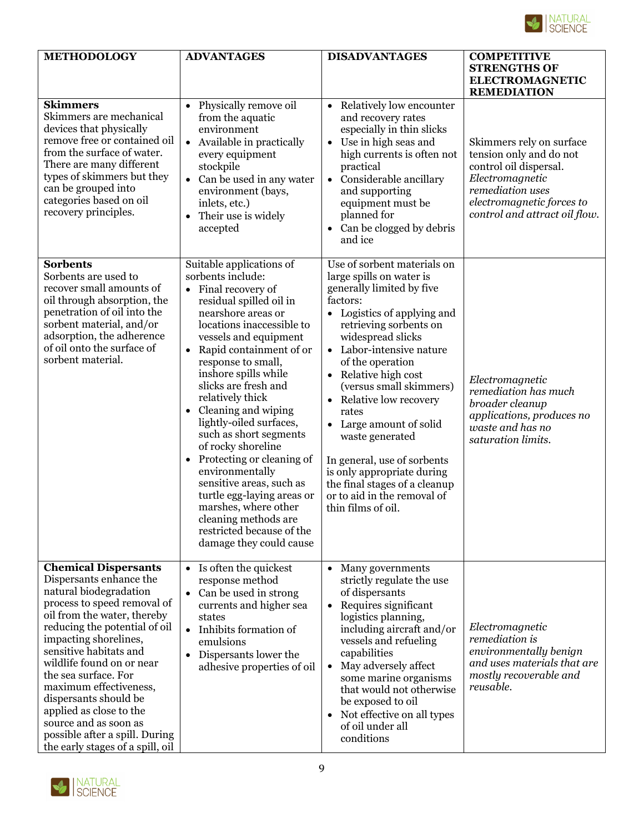

| <b>METHODOLOGY</b>                                                                                                                                                                                                                                                                                                                                                                                                                                                   | <b>ADVANTAGES</b>                                                                                                                                                                                                                                                                                                                                                                                                                                                                                                                                                                                                      | <b>DISADVANTAGES</b>                                                                                                                                                                                                                                                                                                                                                                                                                                                                                                        | <b>COMPETITIVE</b><br><b>STRENGTHS OF</b><br><b>ELECTROMAGNETIC</b><br><b>REMEDIATION</b>                                                                                          |
|----------------------------------------------------------------------------------------------------------------------------------------------------------------------------------------------------------------------------------------------------------------------------------------------------------------------------------------------------------------------------------------------------------------------------------------------------------------------|------------------------------------------------------------------------------------------------------------------------------------------------------------------------------------------------------------------------------------------------------------------------------------------------------------------------------------------------------------------------------------------------------------------------------------------------------------------------------------------------------------------------------------------------------------------------------------------------------------------------|-----------------------------------------------------------------------------------------------------------------------------------------------------------------------------------------------------------------------------------------------------------------------------------------------------------------------------------------------------------------------------------------------------------------------------------------------------------------------------------------------------------------------------|------------------------------------------------------------------------------------------------------------------------------------------------------------------------------------|
| <b>Skimmers</b><br>Skimmers are mechanical<br>devices that physically<br>remove free or contained oil<br>from the surface of water.<br>There are many different<br>types of skimmers but they<br>can be grouped into<br>categories based on oil<br>recovery principles.                                                                                                                                                                                              | Physically remove oil<br>$\bullet$<br>from the aquatic<br>environment<br>• Available in practically<br>every equipment<br>stockpile<br>• Can be used in any water<br>environment (bays,<br>inlets, etc.)<br>Their use is widely<br>$\bullet$<br>accepted                                                                                                                                                                                                                                                                                                                                                               | Relatively low encounter<br>$\bullet$<br>and recovery rates<br>especially in thin slicks<br>Use in high seas and<br>$\bullet$<br>high currents is often not<br>practical<br>Considerable ancillary<br>$\bullet$<br>and supporting<br>equipment must be<br>planned for<br>Can be clogged by debris<br>and ice                                                                                                                                                                                                                | Skimmers rely on surface<br>tension only and do not<br>control oil dispersal.<br>Electromagnetic<br>remediation uses<br>electromagnetic forces to<br>control and attract oil flow. |
| <b>Sorbents</b><br>Sorbents are used to<br>recover small amounts of<br>oil through absorption, the<br>penetration of oil into the<br>sorbent material, and/or<br>adsorption, the adherence<br>of oil onto the surface of<br>sorbent material.                                                                                                                                                                                                                        | Suitable applications of<br>sorbents include:<br>Final recovery of<br>residual spilled oil in<br>nearshore areas or<br>locations inaccessible to<br>vessels and equipment<br>• Rapid containment of or<br>response to small,<br>inshore spills while<br>slicks are fresh and<br>relatively thick<br>• Cleaning and wiping<br>lightly-oiled surfaces,<br>such as short segments<br>of rocky shoreline<br>Protecting or cleaning of<br>environmentally<br>sensitive areas, such as<br>turtle egg-laying areas or<br>marshes, where other<br>cleaning methods are<br>restricted because of the<br>damage they could cause | Use of sorbent materials on<br>large spills on water is<br>generally limited by five<br>factors:<br>• Logistics of applying and<br>retrieving sorbents on<br>widespread slicks<br>Labor-intensive nature<br>$\bullet$<br>of the operation<br>Relative high cost<br>(versus small skimmers)<br>Relative low recovery<br>rates<br>Large amount of solid<br>waste generated<br>In general, use of sorbents<br>is only appropriate during<br>the final stages of a cleanup<br>or to aid in the removal of<br>thin films of oil. | Electromagnetic<br>remediation has much<br>broader cleanup<br>applications, produces no<br>waste and has no<br>saturation limits.                                                  |
| <b>Chemical Dispersants</b><br>Dispersants enhance the<br>natural biodegradation<br>process to speed removal of<br>oil from the water, thereby<br>reducing the potential of oil<br>impacting shorelines,<br>sensitive habitats and<br>wildlife found on or near<br>the sea surface. For<br>maximum effectiveness,<br>dispersants should be<br>applied as close to the<br>source and as soon as<br>possible after a spill. During<br>the early stages of a spill, oil | Is often the quickest<br>response method<br>Can be used in strong<br>$\bullet$<br>currents and higher sea<br>states<br>Inhibits formation of<br>$\bullet$<br>emulsions<br>Dispersants lower the<br>adhesive properties of oil                                                                                                                                                                                                                                                                                                                                                                                          | Many governments<br>$\bullet$<br>strictly regulate the use<br>of dispersants<br>Requires significant<br>$\bullet$<br>logistics planning,<br>including aircraft and/or<br>vessels and refueling<br>capabilities<br>May adversely affect<br>$\bullet$<br>some marine organisms<br>that would not otherwise<br>be exposed to oil<br>Not effective on all types<br>of oil under all<br>conditions                                                                                                                               | Electromagnetic<br>remediation is<br>environmentally benign<br>and uses materials that are<br>mostly recoverable and<br>reusable.                                                  |

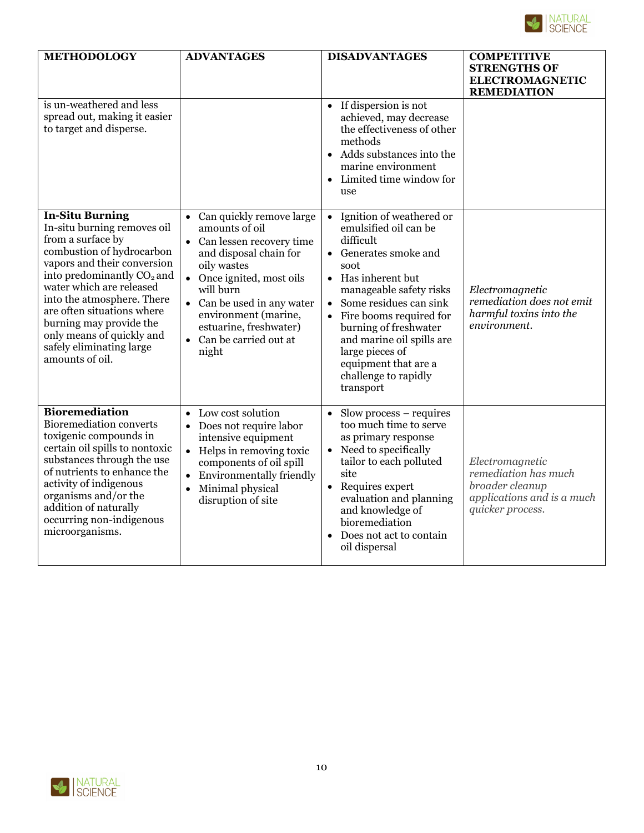

| <b>METHODOLOGY</b>                                                                                                                                                                                                                                                                                                                                                              | <b>ADVANTAGES</b>                                                                                                                                                                                                                                                         | <b>DISADVANTAGES</b>                                                                                                                                                                                                                                                                                                                                                | <b>COMPETITIVE</b><br><b>STRENGTHS OF</b><br><b>ELECTROMAGNETIC</b><br><b>REMEDIATION</b>                    |
|---------------------------------------------------------------------------------------------------------------------------------------------------------------------------------------------------------------------------------------------------------------------------------------------------------------------------------------------------------------------------------|---------------------------------------------------------------------------------------------------------------------------------------------------------------------------------------------------------------------------------------------------------------------------|---------------------------------------------------------------------------------------------------------------------------------------------------------------------------------------------------------------------------------------------------------------------------------------------------------------------------------------------------------------------|--------------------------------------------------------------------------------------------------------------|
| is un-weathered and less<br>spread out, making it easier<br>to target and disperse.                                                                                                                                                                                                                                                                                             |                                                                                                                                                                                                                                                                           | If dispersion is not<br>achieved, may decrease<br>the effectiveness of other<br>methods<br>Adds substances into the<br>marine environment<br>Limited time window for<br>use                                                                                                                                                                                         |                                                                                                              |
| <b>In-Situ Burning</b><br>In-situ burning removes oil<br>from a surface by<br>combustion of hydrocarbon<br>vapors and their conversion<br>into predominantly CO <sub>2</sub> and<br>water which are released<br>into the atmosphere. There<br>are often situations where<br>burning may provide the<br>only means of quickly and<br>safely eliminating large<br>amounts of oil. | Can quickly remove large<br>amounts of oil<br>Can lessen recovery time<br>and disposal chain for<br>oily wastes<br>Once ignited, most oils<br>will burn<br>Can be used in any water<br>environment (marine,<br>estuarine, freshwater)<br>• Can be carried out at<br>night | Ignition of weathered or<br>$\bullet$<br>emulsified oil can be<br>difficult<br>Generates smoke and<br>soot<br>• Has inherent but<br>manageable safety risks<br>Some residues can sink<br>$\bullet$<br>Fire booms required for<br>burning of freshwater<br>and marine oil spills are<br>large pieces of<br>equipment that are a<br>challenge to rapidly<br>transport | Electromagnetic<br>remediation does not emit<br>harmful toxins into the<br>environment.                      |
| <b>Bioremediation</b><br>Bioremediation converts<br>toxigenic compounds in<br>certain oil spills to nontoxic<br>substances through the use<br>of nutrients to enhance the<br>activity of indigenous<br>organisms and/or the<br>addition of naturally<br>occurring non-indigenous<br>microorganisms.                                                                             | Low cost solution<br>$\bullet$<br>Does not require labor<br>$\bullet$<br>intensive equipment<br>Helps in removing toxic<br>$\bullet$<br>components of oil spill<br><b>Environmentally friendly</b><br>Minimal physical<br>$\bullet$<br>disruption of site                 | $S$ low process – requires<br>$\bullet$<br>too much time to serve<br>as primary response<br>• Need to specifically<br>tailor to each polluted<br>site<br>Requires expert<br>$\bullet$<br>evaluation and planning<br>and knowledge of<br>bioremediation<br>Does not act to contain<br>oil dispersal                                                                  | Electromagnetic<br>remediation has much<br>broader cleanup<br>applications and is a much<br>quicker process. |

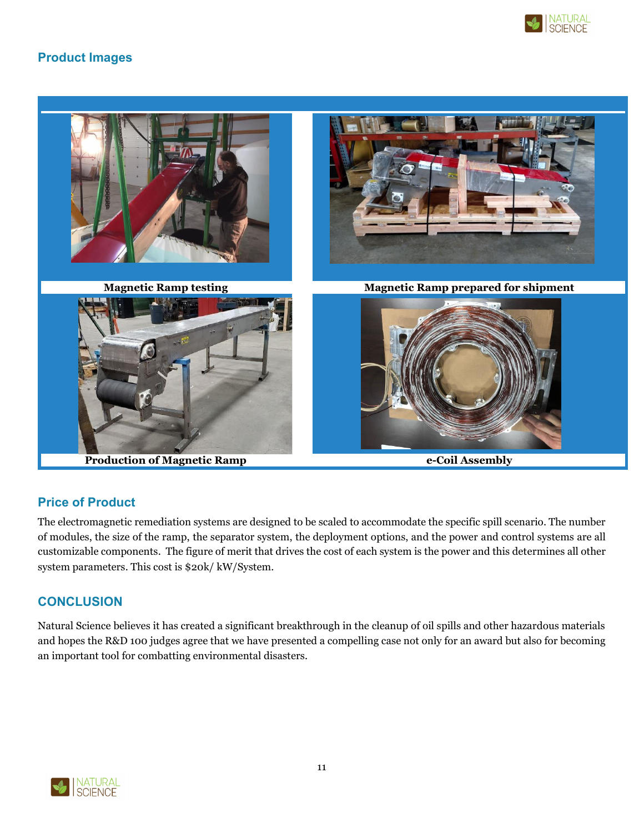

# **Product Images**



# **Price of Product**

The electromagnetic remediation systems are designed to be scaled to accommodate the specific spill scenario. The number of modules, the size of the ramp, the separator system, the deployment options, and the power and control systems are all customizable components. The figure of merit that drives the cost of each system is the power and this determines all other system parameters. This cost is \$20k/ kW/System.

#### **CONCLUSION**

Natural Science believes it has created a significant breakthrough in the cleanup of oil spills and other hazardous materials and hopes the R&D 100 judges agree that we have presented a compelling case not only for an award but also for becoming an important tool for combatting environmental disasters.

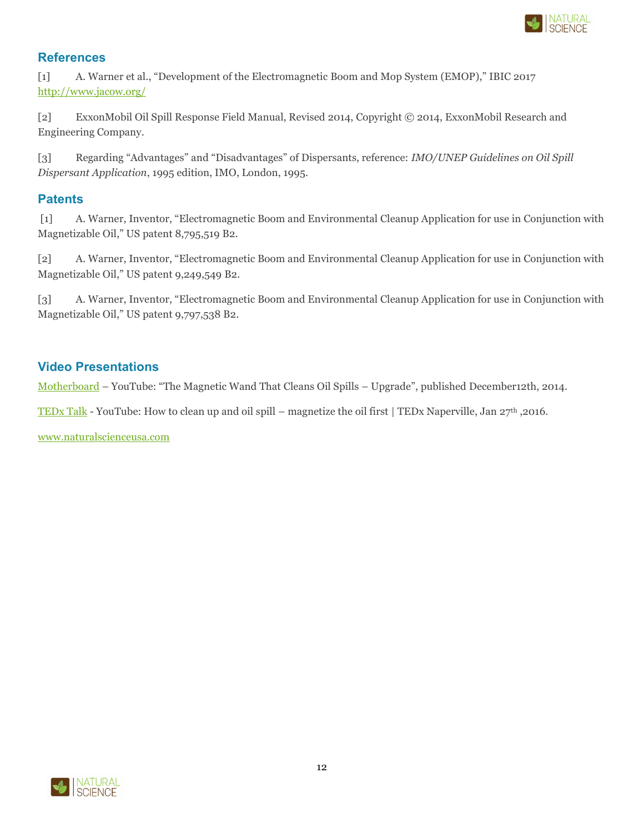

### **References**

[1] A. Warner et al., "Development of the Electromagnetic Boom and Mop System (EMOP)," IBIC 2017 <http://www.jacow.org/>

[2] ExxonMobil Oil Spill Response Field Manual, Revised 2014, Copyright © 2014, ExxonMobil Research and Engineering Company.

[3] Regarding "Advantages" and "Disadvantages" of Dispersants, reference: *IMO/UNEP Guidelines on Oil Spill Dispersant Application*, 1995 edition, IMO, London, 1995.

## **Patents**

[1] A. Warner, Inventor, "Electromagnetic Boom and Environmental Cleanup Application for use in Conjunction with Magnetizable Oil," US patent 8,795,519 B2.

[2] A. Warner, Inventor, "Electromagnetic Boom and Environmental Cleanup Application for use in Conjunction with Magnetizable Oil," US patent 9,249,549 B2.

[3] A. Warner, Inventor, "Electromagnetic Boom and Environmental Cleanup Application for use in Conjunction with Magnetizable Oil," US patent 9,797,538 B2.

### **Video Presentations**

[Motherboard](https://youtu.be/lYM324yDH-Q) – YouTube: "The Magnetic Wand That Cleans Oil Spills – Upgrade", published December12th, 2014.

[TEDx Talk](https://youtu.be/LV9209axVUs) - YouTube: How to clean up and oil spill – magnetize the oil first | TEDx Naperville, Jan 27th ,2016.

[www.naturalscienceusa.com](http://www.naturalscienceusa.com/)